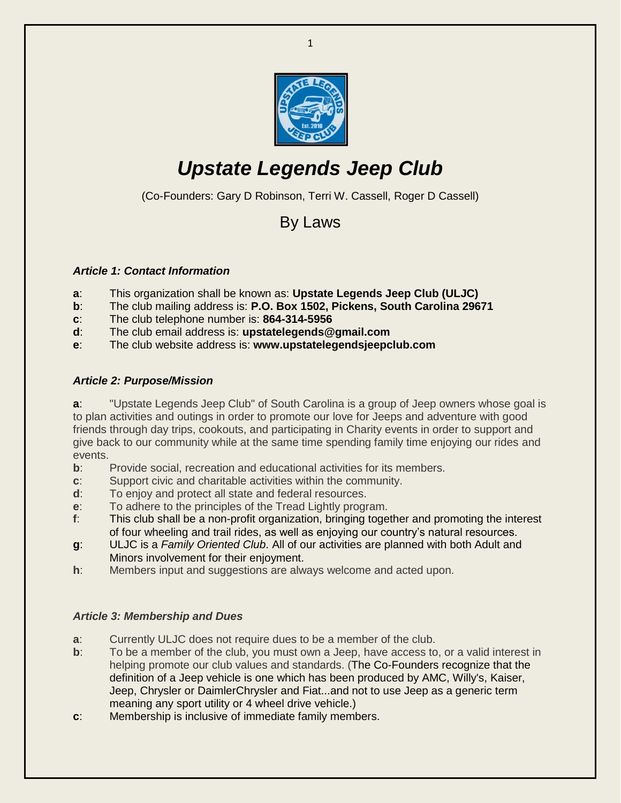

# *Upstate Legends Jeep Club*

(Co-Founders: Gary D Robinson, Terri W. Cassell, Roger D Cassell)

# By Laws

## *Article 1: Contact Information*

- **a**: This organization shall be known as: **Upstate Legends Jeep Club (ULJC)**
- **b**: The club mailing address is: **P.O. Box 1502, Pickens, South Carolina 29671**
- **c**: The club telephone number is: **864-314-5956**
- **d**: The club email address is: **upstatelegends@gmail.com**
- **e**: The club website address is: **www.upstatelegendsjeepclub.com**

## *Article 2: Purpose/Mission*

**a**: "Upstate Legends Jeep Club" of South Carolina is a group of Jeep owners whose goal is to plan activities and outings in order to promote our love for Jeeps and adventure with good friends through day trips, cookouts, and participating in Charity events in order to support and give back to our community while at the same time spending family time enjoying our rides and events.

- **b**: Provide social, recreation and educational activities for its members.
- **c**: Support civic and charitable activities within the community.
- **d**: To enjoy and protect all state and federal resources.
- **e**: To adhere to the principles of the Tread Lightly program.
- **f**: This club shall be a non-profit organization, bringing together and promoting the interest of four wheeling and trail rides, as well as enjoying our country's natural resources.
- **g**: ULJC is a *Family Oriented Club*. All of our activities are planned with both Adult and Minors involvement for their enjoyment.
- **h**: Members input and suggestions are always welcome and acted upon.

# *Article 3: Membership and Dues*

- **a**: Currently ULJC does not require dues to be a member of the club.
- **b**: To be a member of the club, you must own a Jeep, have access to, or a valid interest in helping promote our club values and standards. (The Co-Founders recognize that the definition of a Jeep vehicle is one which has been produced by AMC, Willy's, Kaiser, Jeep, Chrysler or DaimlerChrysler and Fiat...and not to use Jeep as a generic term meaning any sport utility or 4 wheel drive vehicle.)
- **c**: Membership is inclusive of immediate family members.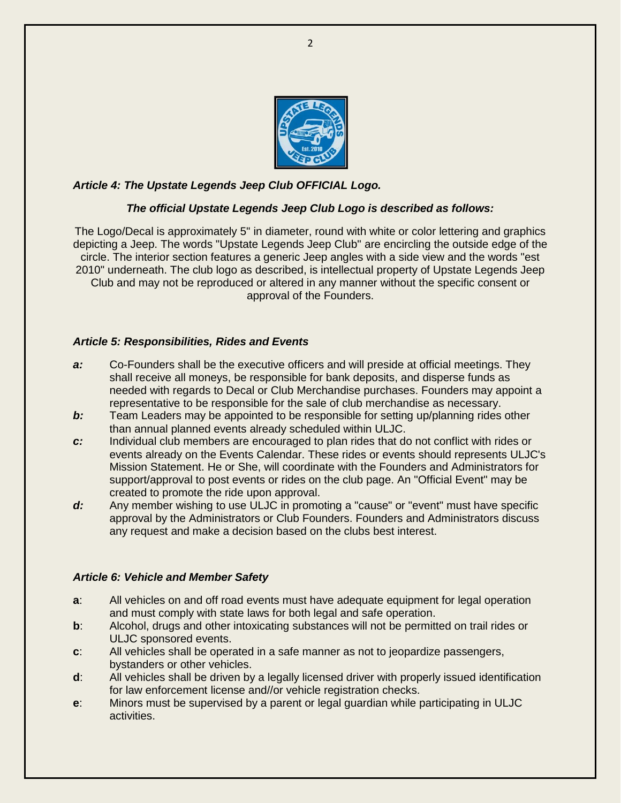

#### *Article 4: The Upstate Legends Jeep Club OFFICIAL Logo.*

#### *The official Upstate Legends Jeep Club Logo is described as follows:*

The Logo/Decal is approximately 5" in diameter, round with white or color lettering and graphics depicting a Jeep. The words "Upstate Legends Jeep Club" are encircling the outside edge of the circle. The interior section features a generic Jeep angles with a side view and the words "est 2010" underneath. The club logo as described, is intellectual property of Upstate Legends Jeep Club and may not be reproduced or altered in any manner without the specific consent or approval of the Founders.

#### *Article 5: Responsibilities, Rides and Events*

- *a:* Co-Founders shall be the executive officers and will preside at official meetings. They shall receive all moneys, be responsible for bank deposits, and disperse funds as needed with regards to Decal or Club Merchandise purchases. Founders may appoint a representative to be responsible for the sale of club merchandise as necessary.
- *b:* Team Leaders may be appointed to be responsible for setting up/planning rides other than annual planned events already scheduled within ULJC.
- *c:* Individual club members are encouraged to plan rides that do not conflict with rides or events already on the Events Calendar. These rides or events should represents ULJC's Mission Statement. He or She, will coordinate with the Founders and Administrators for support/approval to post events or rides on the club page. An "Official Event" may be created to promote the ride upon approval.
- *d:* Any member wishing to use ULJC in promoting a "cause" or "event" must have specific approval by the Administrators or Club Founders. Founders and Administrators discuss any request and make a decision based on the clubs best interest.

#### *Article 6: Vehicle and Member Safety*

- **a**: All vehicles on and off road events must have adequate equipment for legal operation and must comply with state laws for both legal and safe operation.
- **b**: Alcohol, drugs and other intoxicating substances will not be permitted on trail rides or ULJC sponsored events.
- **c**: All vehicles shall be operated in a safe manner as not to jeopardize passengers, bystanders or other vehicles.
- **d**: All vehicles shall be driven by a legally licensed driver with properly issued identification for law enforcement license and//or vehicle registration checks.
- **e**: Minors must be supervised by a parent or legal guardian while participating in ULJC activities.